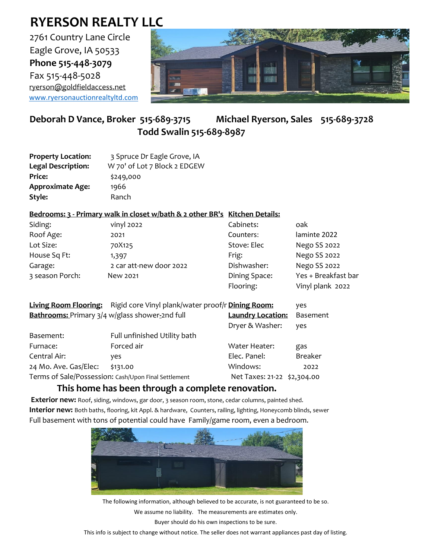## **RYERSON REALTY LLC**

2761 Country Lane Circle Eagle Grove, IA 50533 **Phone 515-448-3079** Fax 515-448-5028 [ryerson@goldfieldaccess.net](mailto:ryerson@goldfieldaccess.net) [www.ryersonauctionrealtyltd.com](http://www.ryersonauctionrealtyltd.com/)



## **Deborah D Vance, Broker 515-689-3715 Michael Ryerson, Sales 515-689-3728 Todd Swalin 515-689-8987**

| <b>Property Location:</b> | 3 Spruce Dr Eagle Grove, IA  |
|---------------------------|------------------------------|
| <b>Legal Description:</b> | W 70' of Lot 7 Block 2 EDGEW |
| <b>Price:</b>             | \$249,000                    |
| <b>Approximate Age:</b>   | 1966                         |
| Style:                    | Ranch                        |

## **Bedrooms: 3 - Primary walk in closet w/bath & 2 other BR's Kitchen Details:**

| Siding:         | vinyl 2022              | Cabinets:     | oak                 |
|-----------------|-------------------------|---------------|---------------------|
| Roof Age:       | 2021                    | Counters:     | laminte 2022        |
| Lot Size:       | 70X125                  | Stove: Elec   | Nego SS 2022        |
| House Sq Ft:    | 1,397                   | Frig:         | Nego SS 2022        |
| Garage:         | 2 car att-new door 2022 | Dishwasher:   | Nego SS 2022        |
| 3 season Porch: | New 2021                | Dining Space: | Yes + Breakfast bar |
|                 |                         | Flooring:     | Vinyl plank 2022    |

|                                                      | Living Room Flooring: Rigid core Vinyl plank/water proof/r Dining Room: |                             | yes             |
|------------------------------------------------------|-------------------------------------------------------------------------|-----------------------------|-----------------|
| Bathrooms: Primary 3/4 w/glass shower-2nd full       |                                                                         | <b>Laundry Location:</b>    | <b>Basement</b> |
|                                                      |                                                                         | Dryer & Washer:             | yes             |
| Basement:                                            | Full unfinished Utility bath                                            |                             |                 |
| Furnace:                                             | Forced air                                                              | Water Heater:               | gas             |
| Central Air:                                         | yes                                                                     | Elec. Panel:                | <b>Breaker</b>  |
| 24 Mo. Ave. Gas/Elec:                                | \$131.00                                                                | Windows:                    | 2022            |
| Terms of Sale/Possession: Cash/Upon Final Settlement |                                                                         | Net Taxes: 21-22 \$2,304.00 |                 |

## **This home has been through a complete renovation.**

**Exterior new:** Roof, siding, windows, gar door, 3 season room, stone, cedar columns, painted shed. **Interior new:** Both baths, flooring, kit Appl. & hardware, Counters, railing, lighting, Honeycomb blinds, sewer Full basement with tons of potential could have Family/game room, even a bedroom.



The following information, although believed to be accurate, is not guaranteed to be so. We assume no liability. The measurements are estimates only. Buyer should do his own inspections to be sure.

This info is subject to change without notice. The seller does not warrant appliances past day of listing.